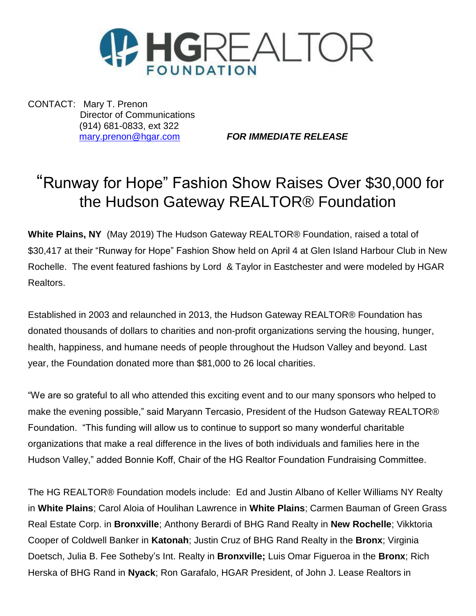

CONTACT: Mary T. Prenon Director of Communications (914) 681-0833, ext 322

[mary.prenon@hgar.com](mailto:mary.prenon@hgar.com) *FOR IMMEDIATE RELEASE*

## "Runway for Hope" Fashion Show Raises Over \$30,000 for the Hudson Gateway REALTOR® Foundation

**White Plains, NY** (May 2019) The Hudson Gateway REALTOR® Foundation, raised a total of \$30,417 at their "Runway for Hope" Fashion Show held on April 4 at Glen Island Harbour Club in New Rochelle. The event featured fashions by Lord & Taylor in Eastchester and were modeled by HGAR Realtors.

Established in 2003 and relaunched in 2013, the Hudson Gateway REALTOR® Foundation has donated thousands of dollars to charities and non-profit organizations serving the housing, hunger, health, happiness, and humane needs of people throughout the Hudson Valley and beyond. Last year, the Foundation donated more than \$81,000 to 26 local charities.

"We are so grateful to all who attended this exciting event and to our many sponsors who helped to make the evening possible," said Maryann Tercasio, President of the Hudson Gateway REALTOR® Foundation. "This funding will allow us to continue to support so many wonderful charitable organizations that make a real difference in the lives of both individuals and families here in the Hudson Valley," added Bonnie Koff, Chair of the HG Realtor Foundation Fundraising Committee.

The HG REALTOR® Foundation models include: Ed and Justin Albano of Keller Williams NY Realty in **White Plains**; Carol Aloia of Houlihan Lawrence in **White Plains**; Carmen Bauman of Green Grass Real Estate Corp. in **Bronxville**; Anthony Berardi of BHG Rand Realty in **New Rochelle**; Vikktoria Cooper of Coldwell Banker in **Katonah**; Justin Cruz of BHG Rand Realty in the **Bronx**; Virginia Doetsch, Julia B. Fee Sotheby's Int. Realty in **Bronxville;** Luis Omar Figueroa in the **Bronx**; Rich Herska of BHG Rand in **Nyack**; Ron Garafalo, HGAR President, of John J. Lease Realtors in